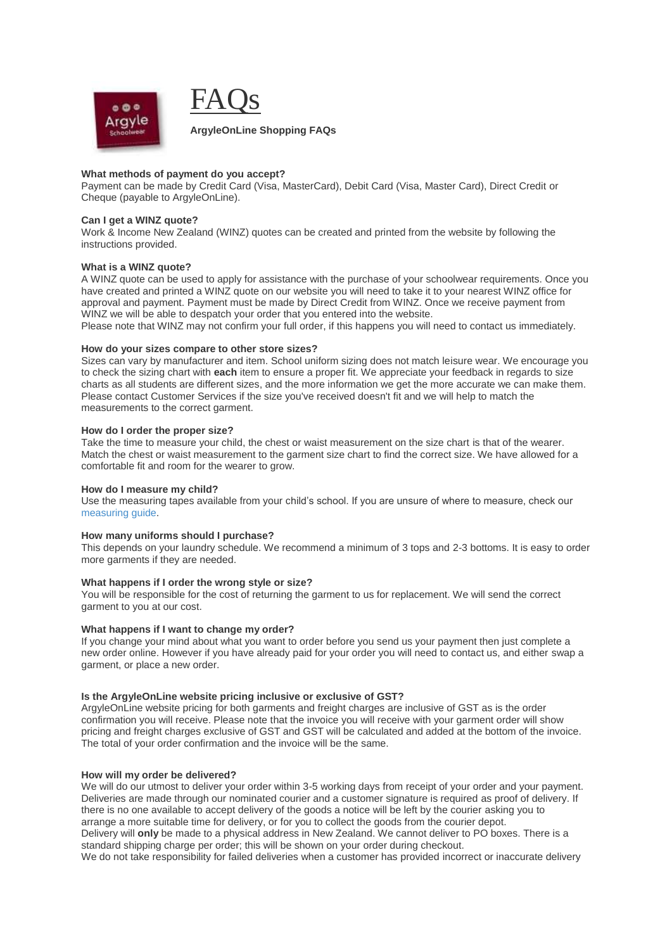

# **What methods of payment do you accept?**

Payment can be made by Credit Card (Visa, MasterCard), Debit Card (Visa, Master Card), Direct Credit or Cheque (payable to ArgyleOnLine).

### **Can I get a WINZ quote?**

Work & Income New Zealand (WINZ) quotes can be created and printed from the website by following the instructions provided.

# **What is a WINZ quote?**

A WINZ quote can be used to apply for assistance with the purchase of your schoolwear requirements. Once you have created and printed a WINZ quote on our website you will need to take it to your nearest WINZ office for approval and payment. Payment must be made by Direct Credit from WINZ. Once we receive payment from WINZ we will be able to despatch your order that you entered into the website. Please note that WINZ may not confirm your full order, if this happens you will need to contact us immediately.

# **How do your sizes compare to other store sizes?**

Sizes can vary by manufacturer and item. School uniform sizing does not match leisure wear. We encourage you to check the sizing chart with **each** item to ensure a proper fit. We appreciate your feedback in regards to size charts as all students are different sizes, and the more information we get the more accurate we can make them. Please contact Customer Services if the size you've received doesn't fit and we will help to match the measurements to the correct garment.

#### **How do I order the proper size?**

Take the time to measure your child, the chest or waist measurement on the size chart is that of the wearer. Match the chest or waist measurement to the garment size chart to find the correct size. We have allowed for a comfortable fit and room for the wearer to grow.

### **How do I measure my child?**

Use the measuring tapes available from your child's school. If you are unsure of where to measure, check our [measuring guide.](http://www.argyleonline.co.nz/Measuring-Tips)

## **How many uniforms should I purchase?**

This depends on your laundry schedule. We recommend a minimum of 3 tops and 2-3 bottoms. It is easy to order more garments if they are needed.

### **What happens if I order the wrong style or size?**

You will be responsible for the cost of returning the garment to us for replacement. We will send the correct garment to you at our cost.

### **What happens if I want to change my order?**

If you change your mind about what you want to order before you send us your payment then just complete a new order online. However if you have already paid for your order you will need to contact us, and either swap a garment, or place a new order.

### **Is the ArgyleOnLine website pricing inclusive or exclusive of GST?**

ArgyleOnLine website pricing for both garments and freight charges are inclusive of GST as is the order confirmation you will receive. Please note that the invoice you will receive with your garment order will show pricing and freight charges exclusive of GST and GST will be calculated and added at the bottom of the invoice. The total of your order confirmation and the invoice will be the same.

### **How will my order be delivered?**

We will do our utmost to deliver your order within 3-5 working days from receipt of your order and your payment. Deliveries are made through our nominated courier and a customer signature is required as proof of delivery. If there is no one available to accept delivery of the goods a notice will be left by the courier asking you to arrange a more suitable time for delivery, or for you to collect the goods from the courier depot. Delivery will **only** be made to a physical address in New Zealand. We cannot deliver to PO boxes. There is a standard shipping charge per order; this will be shown on your order during checkout.

We do not take responsibility for failed deliveries when a customer has provided incorrect or inaccurate delivery